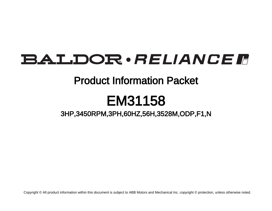# BALDOR · RELIANCE F

### Product Information Packet

# EM31158

3HP,3450RPM,3PH,60HZ,56H,3528M,ODP,F1,N

Copyright © All product information within this document is subject to ABB Motors and Mechanical Inc. copyright © protection, unless otherwise noted.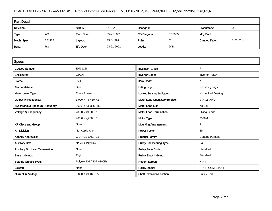### BALDOR · RELIANCE F Product Information Packet: EM31158 - 3HP,3450RPM,3PH,60HZ,56H,3528M,ODP,F1,N

| <b>Part Detail</b> |           |             |            |             |        |                      |            |  |  |
|--------------------|-----------|-------------|------------|-------------|--------|----------------------|------------|--|--|
| Revision:          |           | Status:     | PRD/A      | Change #:   |        | Proprietary:         | No         |  |  |
| Type:              | AC        | Elec. Spec: | 35WGL051   | CD Diagram: | CD0005 | Mfg Plant:           |            |  |  |
| Mech. Spec:        | 35J382    | Layout:     | 35LYJ382   | Poles:      | 02     | <b>Created Date:</b> | 11-25-2014 |  |  |
| Base:              | <b>RG</b> | Eff. Date:  | 04-21-2021 | Leads:      | 9#18   |                      |            |  |  |

| <b>Specs</b>                           |                         |                                  |                        |
|----------------------------------------|-------------------------|----------------------------------|------------------------|
| <b>Catalog Number:</b>                 | EM31158                 | <b>Insulation Class:</b>         | F.                     |
| Enclosure:                             | <b>OPEN</b>             | <b>Inverter Code:</b>            | <b>Inverter Ready</b>  |
| Frame:                                 | 56H                     | <b>KVA Code:</b>                 | ĸ                      |
| <b>Frame Material:</b>                 | Steel                   | <b>Lifting Lugs:</b>             | No Lifting Lugs        |
| Motor Letter Type:                     | Three Phase             | <b>Locked Bearing Indicator:</b> | No Locked Bearing      |
| Output @ Frequency:                    | 3.000 HP @ 60 HZ        | Motor Lead Quantity/Wire Size:   | 9 @ 18 AWG             |
| Synchronous Speed @ Frequency:         | 3600 RPM @ 60 HZ        | <b>Motor Lead Exit:</b>          | Ko Box                 |
| Voltage @ Frequency:                   | 230.0 V @ 60 HZ         | <b>Motor Lead Termination:</b>   | <b>Flying Leads</b>    |
|                                        | 460.0 V @ 60 HZ         | Motor Type:                      | 3528M                  |
| XP Class and Group:                    | None                    | <b>Mounting Arrangement:</b>     | F <sub>1</sub>         |
| <b>XP Division:</b>                    | Not Applicable          | <b>Power Factor:</b>             | 89                     |
| <b>Agency Approvals:</b>               | <b>CURUS ENERGY</b>     | <b>Product Family:</b>           | <b>General Purpose</b> |
| <b>Auxillary Box:</b>                  | No Auxillary Box        | <b>Pulley End Bearing Type:</b>  | Ball                   |
| <b>Auxillary Box Lead Termination:</b> | None                    | <b>Pulley Face Code:</b>         | Standard               |
| <b>Base Indicator:</b>                 | Rigid                   | <b>Pulley Shaft Indicator:</b>   | Standard               |
| <b>Bearing Grease Type:</b>            | Polyrex EM (-20F +300F) | <b>Rodent Screen:</b>            | None                   |
| <b>Blower:</b>                         | None                    | <b>RoHS Status:</b>              | <b>ROHS COMPLIANT</b>  |
| Current @ Voltage:                     | 3.800 A @ 460.0 V       | <b>Shaft Extension Location:</b> | Pulley End             |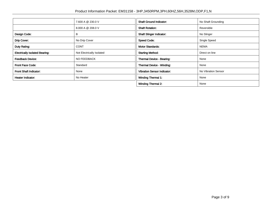|                                       | 7.600 A @ 230.0 V         | <b>Shaft Ground Indicator:</b>     | No Shaft Grounding  |
|---------------------------------------|---------------------------|------------------------------------|---------------------|
|                                       | 8.000 A @ 208.0 V         | <b>Shaft Rotation:</b>             | Reversible          |
| Design Code:                          | B                         | <b>Shaft Slinger Indicator:</b>    | No Slinger          |
| Drip Cover:                           | No Drip Cover             | <b>Speed Code:</b>                 | Single Speed        |
| Duty Rating:                          | <b>CONT</b>               | <b>Motor Standards:</b>            | <b>NEMA</b>         |
| <b>Electrically Isolated Bearing:</b> | Not Electrically Isolated | <b>Starting Method:</b>            | Direct on line      |
| <b>Feedback Device:</b>               | NO FEEDBACK               | Thermal Device - Bearing:          | None                |
| <b>Front Face Code:</b>               | Standard                  | Thermal Device - Winding:          | None                |
| <b>Front Shaft Indicator:</b>         | None                      | <b>Vibration Sensor Indicator:</b> | No Vibration Sensor |
| <b>Heater Indicator:</b>              | No Heater                 | <b>Winding Thermal 1:</b>          | None                |
|                                       |                           | <b>Winding Thermal 2:</b>          | None                |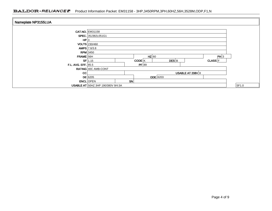#### BALDOR · RELIANCE F Product Information Packet: EM31158 - 3HP,3450RPM,3PH,60HZ,56H,3528M,ODP,F1,N

| Nameplate NP3155LUA        |                                                          |                 |  |  |  |  |  |       |
|----------------------------|----------------------------------------------------------|-----------------|--|--|--|--|--|-------|
|                            |                                                          |                 |  |  |  |  |  |       |
|                            | <b>CAT.NO.</b> EM31158                                   |                 |  |  |  |  |  |       |
|                            | SPEC. 35J382L051G1                                       |                 |  |  |  |  |  |       |
| HP 3                       |                                                          |                 |  |  |  |  |  |       |
|                            | <b>VOLTS</b> 230/460                                     |                 |  |  |  |  |  |       |
|                            | <b>AMPS</b> 7.6/3.8                                      |                 |  |  |  |  |  |       |
| <b>RPM</b> 3450            |                                                          |                 |  |  |  |  |  |       |
| FRAME 56H                  |                                                          | $HZ$ 60<br>PH 3 |  |  |  |  |  |       |
|                            | $DES$ <sub>B</sub><br>CODE K<br>$CLASS$ $F$<br>$SF$ 1.15 |                 |  |  |  |  |  |       |
| <b>F.L. AVG. EFF. 85.5</b> | PF 89                                                    |                 |  |  |  |  |  |       |
|                            | <b>RATING 40C AMB-CONT</b>                               |                 |  |  |  |  |  |       |
| <b>CC</b>                  | USABLE AT 208V 8                                         |                 |  |  |  |  |  |       |
|                            | <b>ODE</b> 6203<br>$DE$ 6205                             |                 |  |  |  |  |  |       |
|                            | <b>ENCL</b> OPEN                                         | SN              |  |  |  |  |  |       |
|                            | USABLE AT 50HZ 3HP 190/380V 9/4.5A                       |                 |  |  |  |  |  | SF1.0 |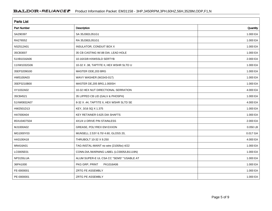| <b>Parts List</b>  |                                          |          |  |  |  |  |  |
|--------------------|------------------------------------------|----------|--|--|--|--|--|
| <b>Part Number</b> | Description                              | Quantity |  |  |  |  |  |
| SA290397           | SA 35J382L051G1                          | 1.000 EA |  |  |  |  |  |
| RA276552           | RA 35J382L051G1                          | 1.000 EA |  |  |  |  |  |
| NS2512A01          | INSULATOR, CONDUIT BOX X                 | 1.000 EA |  |  |  |  |  |
| 35CB3007           | 35 CB CASTING W/.88 DIA, LEAD HOLE       | 1.000 EA |  |  |  |  |  |
| 51XB1016A06        | 10-16X3/8 HXWSSLD SERTYB                 | 2.000 EA |  |  |  |  |  |
| 11XW1032G06        | 10-32 X .38, TAPTITE II, HEX WSHR SLTD U | 1.000 EA |  |  |  |  |  |
| 35EP3209G00        | MASTER ODE, 203 BRG                      | 1.000 EA |  |  |  |  |  |
| HW5100A03          | WAVY WASHER (W1543-017)                  | 1.000 EA |  |  |  |  |  |
| 35EP3210B00        | MASTER DE, 205 BRG, 1.000SH              | 1.000 EA |  |  |  |  |  |
| XY1032A02          | 10-32 HEX NUT DIRECTIONAL SERRATION      | 4.000 EA |  |  |  |  |  |
| 35CB4521           | 35 LIPPED CB LID (GALV & PHOSPH)         | 1.000 EA |  |  |  |  |  |
| 51XW0832A07        | 8-32 X .44, TAPTITE II, HEX WSHR SLTD SE | 4.000 EA |  |  |  |  |  |
| HW2501D13          | KEY, 3/16 SQ X 1.375                     | 1.000 EA |  |  |  |  |  |
| HA7000A04          | KEY RETAINER 0.625 DIA SHAFTS            | 1.000 EA |  |  |  |  |  |
| 85XU0407S04        | 4X1/4 U DRIVE PIN STAINLESS              | 2.000 EA |  |  |  |  |  |
| MJ1000A02          | GREASE, POLYREX EM EXXON                 | 0.050 LB |  |  |  |  |  |
| MG1000Y03          | MUNSELL 2.53Y 6.70/ 4.60, GLOSS 20,      | 0.017 GA |  |  |  |  |  |
| HA3100A18          | THRUBOLT 10-32 X 9.250                   | 4.000 EA |  |  |  |  |  |
| MN416A01           | TAG-INSTAL-MAINT no wire (2100/bx) 4/22  | 1.000 EA |  |  |  |  |  |
| LC0005E01          | CONN.DIA./WARNING LABEL (LC0005/LB1119N) | 1.000 EA |  |  |  |  |  |
| NP3155LUA          | ALUM SUPER-E UL CSA CC "SEMS" "USABLE AT | 1.000 EA |  |  |  |  |  |
| 36PA1000           | PKG GRP, PRINT<br>PK1016A06              | 1.000 EA |  |  |  |  |  |
| FE-0000001         | ZRTG FE ASSEMBLY                         | 1.000 EA |  |  |  |  |  |
| PE-0000001         | ZRTG PE ASSEMBLY                         | 1.000 EA |  |  |  |  |  |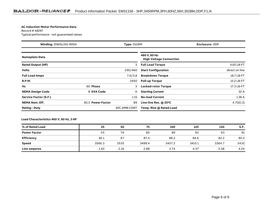#### **AC Induction Motor Performance Data**

Record # 48297Typical performance - not guaranteed values

| Winding: 35WGL051-R004<br><b>Type: 3528M</b> |                   |                                                 | <b>Enclosure: ODP</b>      |                   |  |  |
|----------------------------------------------|-------------------|-------------------------------------------------|----------------------------|-------------------|--|--|
| <b>Nameplate Data</b>                        |                   | 460 V, 60 Hz:<br><b>High Voltage Connection</b> |                            |                   |  |  |
| <b>Rated Output (HP)</b>                     |                   | 3                                               | <b>Full Load Torque</b>    | 4.65 LB-FT        |  |  |
| <b>Volts</b>                                 |                   | 230/460                                         | <b>Start Configuration</b> | direct on line    |  |  |
| <b>Full Load Amps</b>                        |                   | 7.6/3.8                                         | <b>Breakdown Torque</b>    | 18.7 LB-FT        |  |  |
| <b>R.P.M.</b>                                |                   | 3450                                            | <b>Pull-up Torque</b>      | 12.2 LB-FT        |  |  |
| Hz                                           | 60 Phase          | 3                                               | <b>Locked-rotor Torque</b> | 17.3 LB-FT        |  |  |
| <b>NEMA Design Code</b>                      | <b>B KVA Code</b> | ĸ                                               | <b>Starting Current</b>    | 32 A              |  |  |
| Service Factor (S.F.)                        |                   | 1.15                                            | <b>No-load Current</b>     | 1.36A             |  |  |
| <b>NEMA Nom. Eff.</b>                        | 85.5 Power Factor | 89                                              | Line-line Res. @ 25°C      | $4.7021$ $\Omega$ |  |  |
| <b>Rating - Duty</b>                         |                   | 40C AMB-CONT                                    | Temp. Rise @ Rated Load    |                   |  |  |

**Load Characteristics 460 V, 60 Hz, 3 HP**

| % of Rated Load     | 25     | 50   | 75     | 100    | 125    | 150    | S.F. |
|---------------------|--------|------|--------|--------|--------|--------|------|
| <b>Power Factor</b> | 55     | 76   | 85     | 89     | 92     | 93     | 91   |
| <b>Efficiency</b>   | 82.1   | 87   | 87.4   | 86.2   | 84.6   | 82.2   | 85.2 |
| <b>Speed</b>        | 3566.3 | 3535 | 3499.4 | 3457.2 | 3415.1 | 3364.7 | 3432 |
| Line amperes        | 1.63   | 2.16 | 2.88   | 3.74   | 4.57   | 5.58   | 4.24 |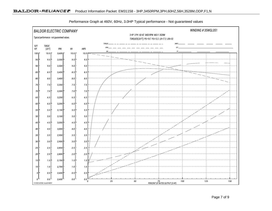

Performance Graph at 460V, 60Hz, 3.0HP Typical performance - Not guaranteed values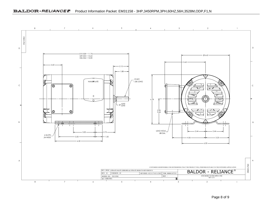#### BALDOR · RELIANCE F Product Information Packet: EM31158 - 3HP,3450RPM,3PH,60HZ,56H,3528M,ODP,F1,N